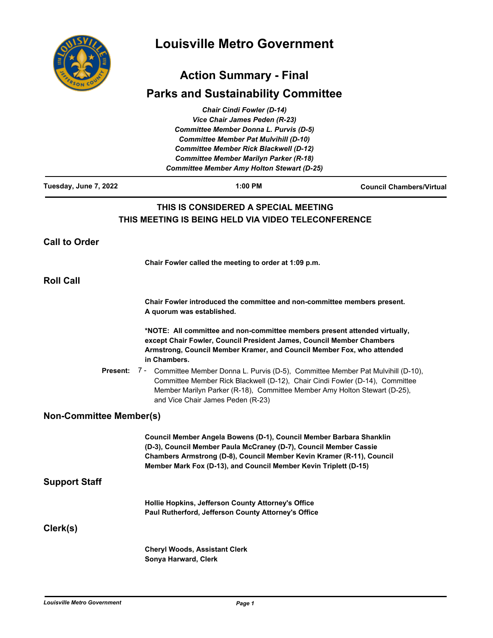

# **Louisville Metro Government**

## **Action Summary - Final**

### **Parks and Sustainability Committee**

|                                | <b>Chair Cindi Fowler (D-14)</b>                                                                                                                                                                                                                                                          |                                 |
|--------------------------------|-------------------------------------------------------------------------------------------------------------------------------------------------------------------------------------------------------------------------------------------------------------------------------------------|---------------------------------|
|                                | Vice Chair James Peden (R-23)                                                                                                                                                                                                                                                             |                                 |
|                                | <b>Committee Member Donna L. Purvis (D-5)</b>                                                                                                                                                                                                                                             |                                 |
|                                | <b>Committee Member Pat Mulvihill (D-10)</b>                                                                                                                                                                                                                                              |                                 |
|                                | <b>Committee Member Rick Blackwell (D-12)</b>                                                                                                                                                                                                                                             |                                 |
|                                | <b>Committee Member Marilyn Parker (R-18)</b><br><b>Committee Member Amy Holton Stewart (D-25)</b>                                                                                                                                                                                        |                                 |
|                                |                                                                                                                                                                                                                                                                                           |                                 |
| Tuesday, June 7, 2022          | 1:00 PM                                                                                                                                                                                                                                                                                   | <b>Council Chambers/Virtual</b> |
|                                | THIS IS CONSIDERED A SPECIAL MEETING                                                                                                                                                                                                                                                      |                                 |
|                                | THIS MEETING IS BEING HELD VIA VIDEO TELECONFERENCE                                                                                                                                                                                                                                       |                                 |
| <b>Call to Order</b>           |                                                                                                                                                                                                                                                                                           |                                 |
|                                | Chair Fowler called the meeting to order at 1:09 p.m.                                                                                                                                                                                                                                     |                                 |
| <b>Roll Call</b>               |                                                                                                                                                                                                                                                                                           |                                 |
|                                | Chair Fowler introduced the committee and non-committee members present.<br>A quorum was established.                                                                                                                                                                                     |                                 |
|                                | *NOTE: All committee and non-committee members present attended virtually,<br>except Chair Fowler, Council President James, Council Member Chambers<br>Armstrong, Council Member Kramer, and Council Member Fox, who attended<br>in Chambers.                                             |                                 |
| Present:                       | $7 -$<br>Committee Member Donna L. Purvis (D-5), Committee Member Pat Mulvihill (D-10),<br>Committee Member Rick Blackwell (D-12), Chair Cindi Fowler (D-14), Committee<br>Member Marilyn Parker (R-18), Committee Member Amy Holton Stewart (D-25),<br>and Vice Chair James Peden (R-23) |                                 |
| <b>Non-Committee Member(s)</b> |                                                                                                                                                                                                                                                                                           |                                 |
|                                | Council Member Angela Bowens (D-1), Council Member Barbara Shanklin<br>(D-3), Council Member Paula McCraney (D-7), Council Member Cassie<br>Chambers Armstrong (D-8), Council Member Kevin Kramer (R-11), Council<br>Member Mark Fox (D-13), and Council Member Kevin Triplett (D-15)     |                                 |
| <b>Support Staff</b>           |                                                                                                                                                                                                                                                                                           |                                 |
|                                | Hollie Hopkins, Jefferson County Attorney's Office<br>Paul Rutherford, Jefferson County Attorney's Office                                                                                                                                                                                 |                                 |
| Clerk(s)                       |                                                                                                                                                                                                                                                                                           |                                 |
|                                | <b>Cheryl Woods, Assistant Clerk</b><br>Sonya Harward, Clerk                                                                                                                                                                                                                              |                                 |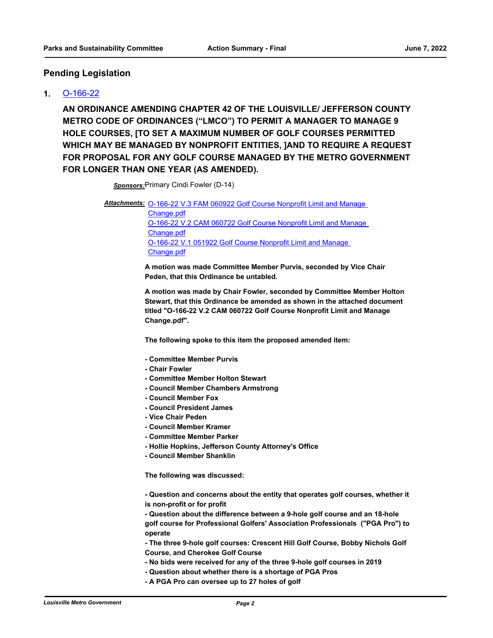#### **Pending Legislation**

#### **1.** [O-166-22](http://louisville.legistar.com/gateway.aspx?m=l&id=/matter.aspx?key=60259)

**AN ORDINANCE AMENDING CHAPTER 42 OF THE LOUISVILLE/ JEFFERSON COUNTY METRO CODE OF ORDINANCES ("LMCO") TO PERMIT A MANAGER TO MANAGE 9 HOLE COURSES, [TO SET A MAXIMUM NUMBER OF GOLF COURSES PERMITTED WHICH MAY BE MANAGED BY NONPROFIT ENTITIES, ]AND TO REQUIRE A REQUEST FOR PROPOSAL FOR ANY GOLF COURSE MANAGED BY THE METRO GOVERNMENT FOR LONGER THAN ONE YEAR (AS AMENDED).**

*Sponsors:*Primary Cindi Fowler (D-14)

Attachments: O-166-22 V.3 FAM 060922 Golf Course Nonprofit Limit and Manage Change.pdf [O-166-22 V.2 CAM 060722 Golf Course Nonprofit Limit and Manage](http://louisville.legistar.com/gateway.aspx?M=F&ID=fe69bc3b-5519-4c61-a2d2-f09cdf74bfbb.pdf)  Change.pdf [O-166-22 V.1 051922 Golf Course Nonprofit Limit and Manage](http://louisville.legistar.com/gateway.aspx?M=F&ID=f349eda3-471d-4c27-b32f-57e4dc34cd4e.pdf)  Change.pdf

> **A motion was made Committee Member Purvis, seconded by Vice Chair Peden, that this Ordinance be untabled.**

**A motion was made by Chair Fowler, seconded by Committee Member Holton Stewart, that this Ordinance be amended as shown in the attached document titled "O-166-22 V.2 CAM 060722 Golf Course Nonprofit Limit and Manage Change.pdf".**

**The following spoke to this item the proposed amended item:**

- **Committee Member Purvis**
- **Chair Fowler**
- **Committee Member Holton Stewart**
- **Council Member Chambers Armstrong**
- **Council Member Fox**
- **Council President James**
- **Vice Chair Peden**
- **Council Member Kramer**
- **Committee Member Parker**
- **Hollie Hopkins, Jefferson County Attorney's Office**
- **Council Member Shanklin**

**The following was discussed:**

**- Question and concerns about the entity that operates golf courses, whether it is non-profit or for profit**

**- Question about the difference between a 9-hole golf course and an 18-hole golf course for Professional Golfers' Association Professionals ("PGA Pro") to operate** 

**- The three 9-hole golf courses: Crescent Hill Golf Course, Bobby Nichols Golf Course, and Cherokee Golf Course** 

- **No bids were received for any of the three 9-hole golf courses in 2019**
- **Question about whether there is a shortage of PGA Pros**
- **A PGA Pro can oversee up to 27 holes of golf**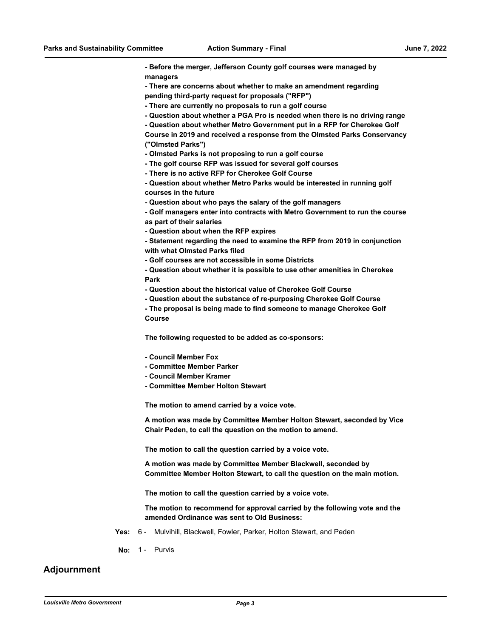**- Before the merger, Jefferson County golf courses were managed by managers**

**- There are concerns about whether to make an amendment regarding pending third-party request for proposals ("RFP")**

**- There are currently no proposals to run a golf course**

**- Question about whether a PGA Pro is needed when there is no driving range**

**- Question about whether Metro Government put in a RFP for Cherokee Golf** 

**Course in 2019 and received a response from the Olmsted Parks Conservancy ("Olmsted Parks")**

**- Olmsted Parks is not proposing to run a golf course**

**- The golf course RFP was issued for several golf courses**

**- There is no active RFP for Cherokee Golf Course**

**- Question about whether Metro Parks would be interested in running golf courses in the future**

**- Question about who pays the salary of the golf managers**

**- Golf managers enter into contracts with Metro Government to run the course as part of their salaries**

**- Question about when the RFP expires**

**- Statement regarding the need to examine the RFP from 2019 in conjunction with what Olmsted Parks filed** 

**- Golf courses are not accessible in some Districts**

**- Question about whether it is possible to use other amenities in Cherokee Park**

**- Question about the historical value of Cherokee Golf Course**

**- Question about the substance of re-purposing Cherokee Golf Course**

**- The proposal is being made to find someone to manage Cherokee Golf Course**

**The following requested to be added as co-sponsors:**

- **Council Member Fox**
- **Committee Member Parker**
- **Council Member Kramer**
- **Committee Member Holton Stewart**

**The motion to amend carried by a voice vote.**

**A motion was made by Committee Member Holton Stewart, seconded by Vice Chair Peden, to call the question on the motion to amend.**

**The motion to call the question carried by a voice vote.**

**A motion was made by Committee Member Blackwell, seconded by Committee Member Holton Stewart, to call the question on the main motion.**

**The motion to call the question carried by a voice vote.**

**The motion to recommend for approval carried by the following vote and the amended Ordinance was sent to Old Business:**

- **Yes:** 6 Mulvihill, Blackwell, Fowler, Parker, Holton Stewart, and Peden
- No: 1 Purvis

#### **Adjournment**